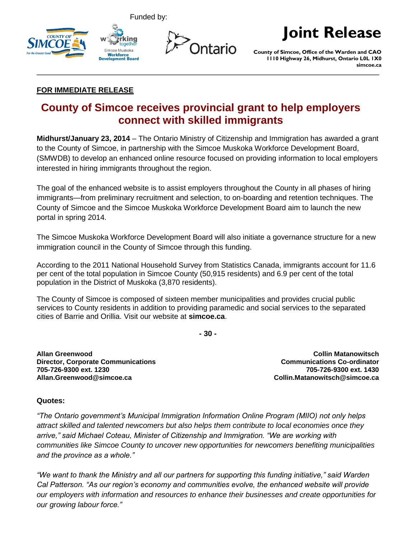







## **Joint Release**

**County of Simcoe, Office of the Warden and CAO 1110 Highway 26, Midhurst, Ontario L0L 1X0 simcoe.ca**

## **FOR IMMEDIATE RELEASE**

## **County of Simcoe receives provincial grant to help employers connect with skilled immigrants**

**Midhurst/January 23, 2014** – The Ontario Ministry of Citizenship and Immigration has awarded a grant to the County of Simcoe, in partnership with the Simcoe Muskoka Workforce Development Board, (SMWDB) to develop an enhanced online resource focused on providing information to local employers interested in hiring immigrants throughout the region.

The goal of the enhanced website is to assist employers throughout the County in all phases of hiring immigrants—from preliminary recruitment and selection, to on-boarding and retention techniques. The County of Simcoe and the Simcoe Muskoka Workforce Development Board aim to launch the new portal in spring 2014.

The Simcoe Muskoka Workforce Development Board will also initiate a governance structure for a new immigration council in the County of Simcoe through this funding.

According to the 2011 National Household Survey from Statistics Canada, immigrants account for 11.6 per cent of the total population in Simcoe County (50,915 residents) and 6.9 per cent of the total population in the District of Muskoka (3,870 residents).

The County of Simcoe is composed of sixteen member municipalities and provides crucial public services to County residents in addition to providing paramedic and social services to the separated cities of Barrie and Orillia. Visit our website at **simcoe.ca**.

**- 30 -**

**Allan Greenwood Director, Corporate Communications 705-726-9300 ext. 1230 Allan.Greenwood@simcoe.ca**

**Collin Matanowitsch Communications Co-ordinator 705-726-9300 ext. 1430 Collin.Matanowitsch@simcoe.ca**

## **Quotes:**

*"The Ontario government's Municipal Immigration Information Online Program (MIIO) not only helps attract skilled and talented newcomers but also helps them contribute to local economies once they arrive," said Michael Coteau, Minister of Citizenship and Immigration. "We are working with communities like Simcoe County to uncover new opportunities for newcomers benefiting municipalities and the province as a whole."*

*"We want to thank the Ministry and all our partners for supporting this funding initiative," said Warden Cal Patterson. "As our region's economy and communities evolve, the enhanced website will provide our employers with information and resources to enhance their businesses and create opportunities for our growing labour force."*